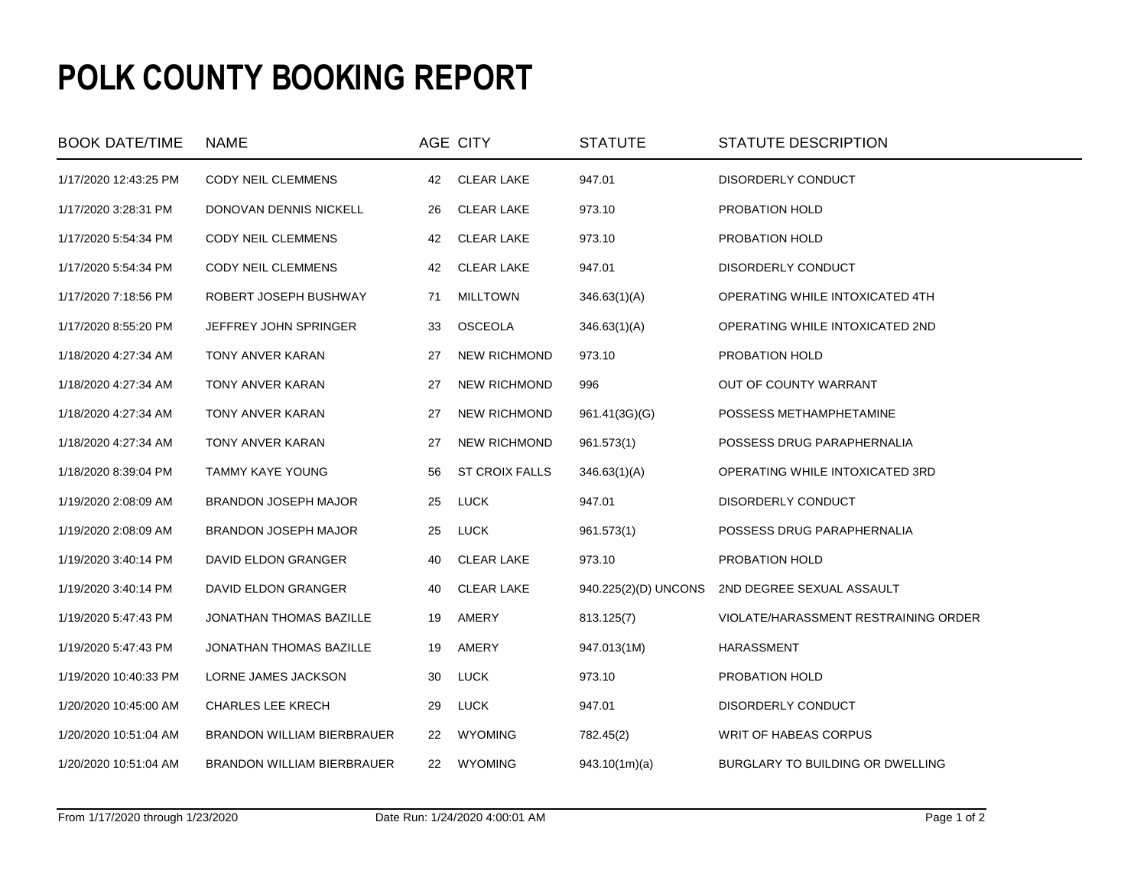## **POLK COUNTY BOOKING REPORT**

| <b>BOOK DATE/TIME</b> | <b>NAME</b>                 |    | AGE CITY              | <b>STATUTE</b>       | STATUTE DESCRIPTION                  |
|-----------------------|-----------------------------|----|-----------------------|----------------------|--------------------------------------|
| 1/17/2020 12:43:25 PM | CODY NEIL CLEMMENS          | 42 | <b>CLEAR LAKE</b>     | 947.01               | DISORDERLY CONDUCT                   |
| 1/17/2020 3:28:31 PM  | DONOVAN DENNIS NICKELL      | 26 | <b>CLEAR LAKE</b>     | 973.10               | PROBATION HOLD                       |
| 1/17/2020 5:54:34 PM  | CODY NEIL CLEMMENS          | 42 | <b>CLEAR LAKE</b>     | 973.10               | PROBATION HOLD                       |
| 1/17/2020 5:54:34 PM  | CODY NEIL CLEMMENS          | 42 | <b>CLEAR LAKE</b>     | 947.01               | DISORDERLY CONDUCT                   |
| 1/17/2020 7:18:56 PM  | ROBERT JOSEPH BUSHWAY       | 71 | <b>MILLTOWN</b>       | 346.63(1)(A)         | OPERATING WHILE INTOXICATED 4TH      |
| 1/17/2020 8:55:20 PM  | JEFFREY JOHN SPRINGER       | 33 | <b>OSCEOLA</b>        | 346.63(1)(A)         | OPERATING WHILE INTOXICATED 2ND      |
| 1/18/2020 4:27:34 AM  | TONY ANVER KARAN            | 27 | <b>NEW RICHMOND</b>   | 973.10               | PROBATION HOLD                       |
| 1/18/2020 4:27:34 AM  | TONY ANVER KARAN            | 27 | <b>NEW RICHMOND</b>   | 996                  | OUT OF COUNTY WARRANT                |
| 1/18/2020 4:27:34 AM  | TONY ANVER KARAN            | 27 | <b>NEW RICHMOND</b>   | 961.41(3G)(G)        | POSSESS METHAMPHETAMINE              |
| 1/18/2020 4:27:34 AM  | TONY ANVER KARAN            | 27 | <b>NEW RICHMOND</b>   | 961.573(1)           | POSSESS DRUG PARAPHERNALIA           |
| 1/18/2020 8:39:04 PM  | TAMMY KAYE YOUNG            | 56 | <b>ST CROIX FALLS</b> | 346.63(1)(A)         | OPERATING WHILE INTOXICATED 3RD      |
| 1/19/2020 2:08:09 AM  | <b>BRANDON JOSEPH MAJOR</b> | 25 | <b>LUCK</b>           | 947.01               | DISORDERLY CONDUCT                   |
| 1/19/2020 2:08:09 AM  | BRANDON JOSEPH MAJOR        | 25 | <b>LUCK</b>           | 961.573(1)           | POSSESS DRUG PARAPHERNALIA           |
| 1/19/2020 3:40:14 PM  | DAVID ELDON GRANGER         | 40 | <b>CLEAR LAKE</b>     | 973.10               | PROBATION HOLD                       |
| 1/19/2020 3:40:14 PM  | DAVID ELDON GRANGER         | 40 | <b>CLEAR LAKE</b>     | 940.225(2)(D) UNCONS | 2ND DEGREE SEXUAL ASSAULT            |
| 1/19/2020 5:47:43 PM  | JONATHAN THOMAS BAZILLE     | 19 | AMERY                 | 813.125(7)           | VIOLATE/HARASSMENT RESTRAINING ORDER |
| 1/19/2020 5:47:43 PM  | JONATHAN THOMAS BAZILLE     | 19 | AMERY                 | 947.013(1M)          | <b>HARASSMENT</b>                    |
| 1/19/2020 10:40:33 PM | LORNE JAMES JACKSON         | 30 | LUCK                  | 973.10               | PROBATION HOLD                       |
| 1/20/2020 10:45:00 AM | <b>CHARLES LEE KRECH</b>    | 29 | LUCK                  | 947.01               | DISORDERLY CONDUCT                   |
| 1/20/2020 10:51:04 AM | BRANDON WILLIAM BIERBRAUER  | 22 | <b>WYOMING</b>        | 782.45(2)            | WRIT OF HABEAS CORPUS                |
| 1/20/2020 10:51:04 AM | BRANDON WILLIAM BIERBRAUER  | 22 | <b>WYOMING</b>        | 943.10(1m)(a)        | BURGLARY TO BUILDING OR DWELLING     |